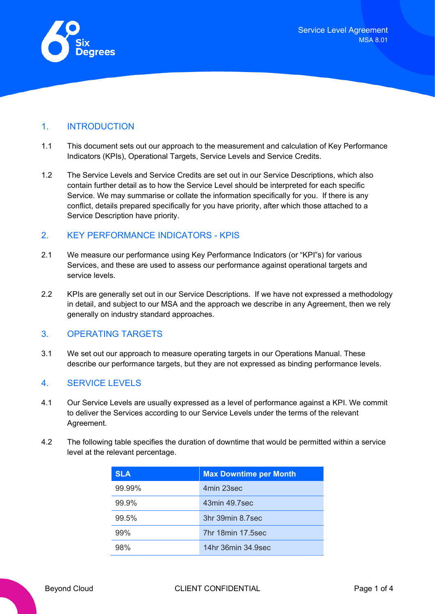<span id="page-0-0"></span>

### 1. INTRODUCTION

- 1.1 This document sets out our approach to the measurement and calculation of Key Performance Indicators (KPIs), Operational Targets, Service Levels and Service Credits.
- 1.2 The Service Levels and Service Credits are set out in our Service Descriptions, which also contain further detail as to how the Service Level should be interpreted for each specific Service. We may summarise or collate the information specifically for you. If there is any conflict, details prepared specifically for you have priority, after which those attached to a Service Description have priority.

#### 2. KEY PERFORMANCE INDICATORS - KPIS

- 2.1 We measure our performance using Key Performance Indicators (or "KPI"s) for various Services, and these are used to assess our performance against operational targets and service levels.
- 2.2 KPIs are generally set out in our Service Descriptions. If we have not expressed a methodology in detail, and subject to our MSA and the approach we describe in any Agreement, then we rely generally on industry standard approaches.

## 3. OPERATING TARGETS

3.1 We set out our approach to measure operating targets in our Operations Manual. These describe our performance targets, but they are not expressed as binding performance levels.

## 4. SERVICE LEVELS

- 4.1 Our Service Levels are usually expressed as a level of performance against a KPI. We commit to deliver the Services according to our Service Levels under the terms of the relevant Agreement.
- 4.2 The following table specifies the duration of downtime that would be permitted within a service level at the relevant percentage.

| <b>SLA</b> | <b>Max Downtime per Month</b> |  |
|------------|-------------------------------|--|
| 99.99%     | 4min 23sec                    |  |
| 99.9%      | 43min 49.7sec                 |  |
| 99.5%      | 3hr 39min 8.7sec              |  |
| 99%        | 7hr 18min 17,5sec             |  |
| 98%        | 14hr 36min 34.9sec            |  |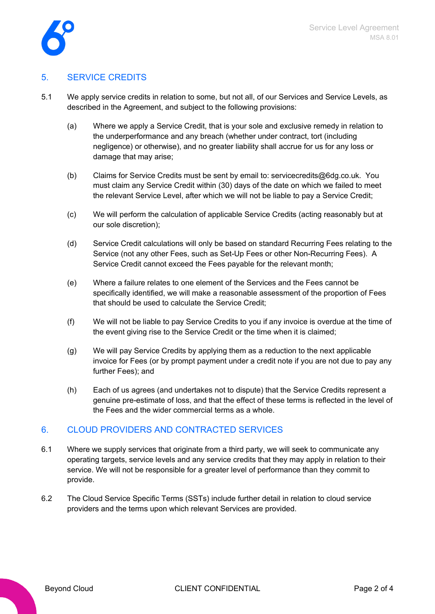

## 5. SERVICE CREDITS

- 5.1 We apply service credits in relation to some, but not all, of our Services and Service Levels, as described in the Agreement, and subject to the following provisions:
	- (a) Where we apply a Service Credit, that is your sole and exclusive remedy in relation to the underperformance and any breach (whether under contract, tort (including negligence) or otherwise), and no greater liability shall accrue for us for any loss or damage that may arise;
	- (b) Claims for Service Credits must be sent by email to: [servicecredits@6dg.co.uk.](mailto:servicecredits@6dg.co.uk) You must claim any Service Credit within (30) days of the date on which we failed to meet the relevant Service Level, after which we will not be liable to pay a Service Credit;
	- (c) We will perform the calculation of applicable Service Credits (acting reasonably but at our sole discretion);
	- (d) Service Credit calculations will only be based on standard Recurring Fees relating to the Service (not any other Fees, such as Set-Up Fees or other Non-Recurring Fees). A Service Credit cannot exceed the Fees payable for the relevant month;
	- (e) Where a failure relates to one element of the Services and the Fees cannot be specifically identified, we will make a reasonable assessment of the proportion of Fees that should be used to calculate the Service Credit;
	- (f) We will not be liable to pay Service Credits to you if any invoice is overdue at the time of the event giving rise to the Service Credit or the time when it is claimed;
	- (g) We will pay Service Credits by applying them as a reduction to the next applicable invoice for Fees (or by prompt payment under a credit note if you are not due to pay any further Fees); and
	- (h) Each of us agrees (and undertakes not to dispute) that the Service Credits represent a genuine pre-estimate of loss, and that the effect of these terms is reflected in the level of the Fees and the wider commercial terms as a whole.

## 6. CLOUD PROVIDERS AND CONTRACTED SERVICES

- 6.1 Where we supply services that originate from a third party, we will seek to communicate any operating targets, service levels and any service credits that they may apply in relation to their service. We will not be responsible for a greater level of performance than they commit to provide.
- 6.2 The Cloud Service Specific Terms (SSTs) include further detail in relation to cloud service providers and the terms upon which relevant Services are provided.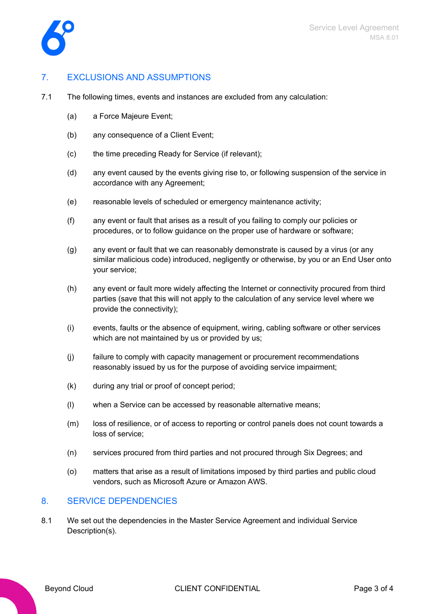



## 7. EXCLUSIONS AND ASSUMPTIONS

- 7.1 The following times, events and instances are excluded from any calculation:
	- (a) a Force Majeure Event;
	- (b) any consequence of a Client Event;
	- (c) the time preceding Ready for Service (if relevant);
	- (d) any event caused by the events giving rise to, or following suspension of the service in accordance with any Agreement;
	- (e) reasonable levels of scheduled or emergency maintenance activity;
	- (f) any event or fault that arises as a result of you failing to comply our policies or procedures, or to follow quidance on the proper use of hardware or software;
	- (g) any event or fault that we can reasonably demonstrate is caused by a virus (or any similar malicious code) introduced, negligently or otherwise, by you or an End User onto your service;
	- (h) any event or fault more widely affecting the Internet or connectivity procured from third parties (save that this will not apply to the calculation of any service level where we provide the connectivity);
	- (i) events, faults or the absence of equipment, wiring, cabling software or other services which are not maintained by us or provided by us;
	- (j) failure to comply with capacity management or procurement recommendations reasonably issued by us for the purpose of avoiding service impairment;
	- (k) during any trial or proof of concept period;
	- (l) when a Service can be accessed by reasonable alternative means;
	- (m) loss of resilience, or of access to reporting or control panels does not count towards a loss of service;
	- (n) services procured from third parties and not procured through Six Degrees; and
	- (o) matters that arise as a result of limitations imposed by third parties and public cloud vendors, such as Microsoft Azure or Amazon AWS.

#### 8. SERVICE DEPENDENCIES

8.1 We set out the dependencies in the Master Service Agreement and individual Service Description(s).